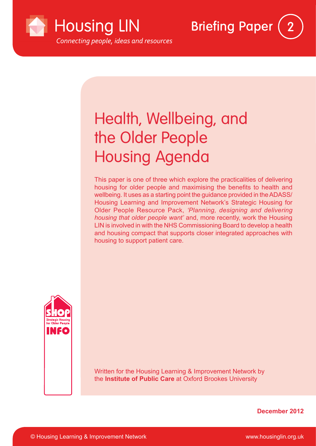

# Health, Wellbeing, and the Older People Housing Agenda

This paper is one of three which explore the practicalities of delivering housing for older people and maximising the benefits to health and wellbeing. It uses as a starting point the guidance provided in the ADASS/ Housing Learning and Improvement Network's Strategic Housing for Older People Resource Pack, *'Planning, designing and delivering housing that older people want'* and, more recently, work the Housing LIN is involved in with the NHS Commissioning Board to develop a health and housing compact that supports closer integrated approaches with housing to support patient care.

**Briefing Paper** 



Written for the Housing Learning & Improvement Network by the **Institute of Public Care** at Oxford Brookes University

**December 2012**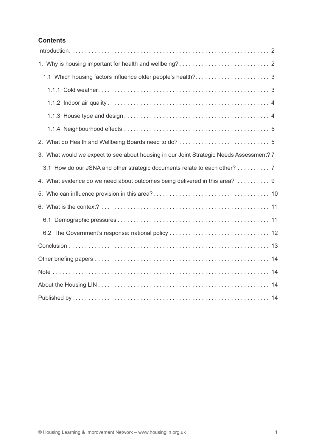# **Contents**

| 3. What would we expect to see about housing in our Joint Strategic Needs Assessment? 7 |  |  |  |  |  |  |
|-----------------------------------------------------------------------------------------|--|--|--|--|--|--|
| 3.1 How do our JSNA and other strategic documents relate to each other? 7               |  |  |  |  |  |  |
| 4. What evidence do we need about outcomes being delivered in this area? 9              |  |  |  |  |  |  |
|                                                                                         |  |  |  |  |  |  |
|                                                                                         |  |  |  |  |  |  |
|                                                                                         |  |  |  |  |  |  |
|                                                                                         |  |  |  |  |  |  |
|                                                                                         |  |  |  |  |  |  |
|                                                                                         |  |  |  |  |  |  |
|                                                                                         |  |  |  |  |  |  |
|                                                                                         |  |  |  |  |  |  |
|                                                                                         |  |  |  |  |  |  |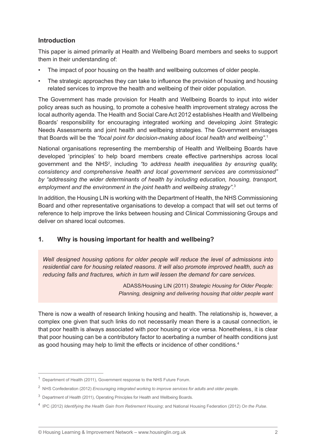# **Introduction**

This paper is aimed primarily at Health and Wellbeing Board members and seeks to support them in their understanding of:

- The impact of poor housing on the health and wellbeing outcomes of older people.
- The strategic approaches they can take to influence the provision of housing and housing related services to improve the health and wellbeing of their older population.

The Government has made provision for Health and Wellbeing Boards to input into wider policy areas such as housing, to promote a cohesive health improvement strategy across the local authority agenda. The Health and Social Care Act 2012 establishes Health and Wellbeing Boards' responsibility for encouraging integrated working and developing Joint Strategic Needs Assessments and joint health and wellbeing strategies. The Government envisages that Boards will be the *"focal point for decision-making about local health and wellbeing".*<sup>1</sup>

National organisations representing the membership of Health and Wellbeing Boards have developed 'principles' to help board members create effective partnerships across local government and the NHS2 , including *"to address health inequalities by ensuring quality, consistency and comprehensive health and local government services are commissioned" by "addressing the wider determinants of health by including education, housing, transport, employment and the environment in the joint health and wellbeing strategy".*<sup>3</sup>

In addition, the Housing LIN is working with the Department of Health, the NHS Commissioning Board and other representative organisations to develop a compact that will set out terms of reference to help improve the links between housing and Clinical Commissioning Groups and deliver on shared local outcomes.

# **1. Why is housing important for health and wellbeing?**

*Well designed housing options for older people will reduce the level of admissions into residential care for housing related reasons. It will also promote improved health, such as reducing falls and fractures, which in turn will lessen the demand for care services.*

> ADASS/Housing LIN (2011) *Strategic Housing for Older People: Planning, designing and delivering housing that older people want*

There is now a wealth of research linking housing and health. The relationship is, however, a complex one given that such links do not necessarily mean there is a causal connection, ie that poor health is always associated with poor housing or vice versa. Nonetheless, it is clear that poor housing can be a contributory factor to acerbating a number of health conditions just as good housing may help to limit the effects or incidence of other conditions.<sup>4</sup>

<sup>&</sup>lt;sup>1</sup> Department of Health (2011), Government response to the NHS Future Forum.

<sup>2</sup> NHS Confederation (2012) *Encouraging integrated working to improve services for adults and older people*.

<sup>&</sup>lt;sup>3</sup> Department of Health (2011), Operating Principles for Health and Wellbeing Boards.

<sup>4</sup> IPC (2012) *Identifying the Health Gain from Retirement Housing*; and National Housing Federation (2012) *On the Pulse*.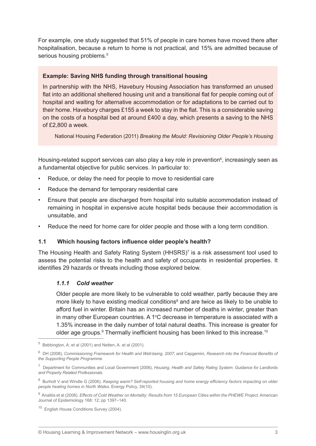For example, one study suggested that 51% of people in care homes have moved there after hospitalisation, because a return to home is not practical, and 15% are admitted because of serious housing problems.<sup>5</sup>

#### **Example: Saving NHS funding through transitional housing**

In partnership with the NHS, Havebury Housing Association has transformed an unused flat into an additional sheltered housing unit and a transitional flat for people coming out of hospital and waiting for alternative accommodation or for adaptations to be carried out to their home. Havebury charges £155 a week to stay in the flat. This is a considerable saving on the costs of a hospital bed at around £400 a day, which presents a saving to the NHS of £2,800 a week.

National Housing Federation (2011) *Breaking the Mould: Revisioning Older People's Housing*

Housing-related support services can also play a key role in prevention<sup>6</sup>, increasingly seen as a fundamental objective for public services. In particular to:

- Reduce, or delay the need for people to move to residential care
- Reduce the demand for temporary residential care
- Ensure that people are discharged from hospital into suitable accommodation instead of remaining in hospital in expensive acute hospital beds because their accommodation is unsuitable, and
- Reduce the need for home care for older people and those with a long term condition.

#### **1.1 Which housing factors influence older people's health?**

The Housing Health and Safety Rating System (HHSRS)<sup>7</sup> is a risk assessment tool used to assess the potential risks to the health and safety of occupants in residential properties. It identifies 29 hazards or threats including those explored below.

#### *1.1.1 Cold weather*

Older people are more likely to be vulnerable to cold weather, partly because they are more likely to have existing medical conditions<sup>8</sup> and are twice as likely to be unable to afford fuel in winter. Britain has an increased number of deaths in winter, greater than in many other European countries. A 1°C decrease in temperature is associated with a 1.35% increase in the daily number of total natural deaths. This increase is greater for older age groups. $9$  Thermally inefficient housing has been linked to this increase.<sup>10</sup>

 $5$  Bebbington, A. et al (2001) and Netten, A. et al (2001).

<sup>6</sup> DH (2008), *Commissioning Framework for Health and Well-being, 2007*; and Capgemini, *Research into the Financial Benefits of the Supporting People Programme*.

<sup>7</sup> Department for Communities and Local Government (2006), *Housing, Health and Safety Rating System: Guidance for Landlords and Property Related Professionals*.

<sup>8</sup> Burholt V and Windle G (2006). *Keeping warm? Self-reported housing and home energy efficiency factors impacting on older people heating homes in North Wales*. Energy Policy, 34(10).

<sup>9</sup> Analitis et al (2008). *Effects of Cold Weather on Mortality: Results from 15 European Cities within the PHEWE Project*. American Journal of Epidemiology 168: 12; pp 1397–140.

<sup>&</sup>lt;sup>10</sup> English House Conditions Survey (2004).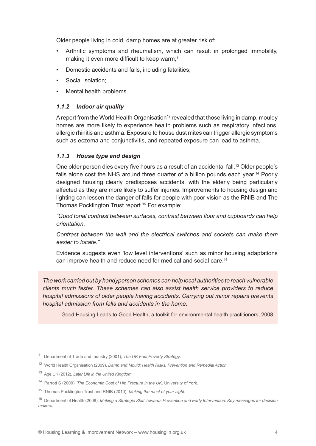Older people living in cold, damp homes are at greater risk of:

- Arthritic symptoms and rheumatism, which can result in prolonged immobility, making it even more difficult to keep warm:<sup>11</sup>
- Domestic accidents and falls, including fatalities;
- Social isolation:
- Mental health problems.

## *1.1.2 Indoor air quality*

A report from the World Health Organisation<sup>12</sup> revealed that those living in damp, mouldy homes are more likely to experience health problems such as respiratory infections, allergic rhinitis and asthma. Exposure to house dust mites can trigger allergic symptoms such as eczema and conjunctivitis, and repeated exposure can lead to asthma.

## *1.1.3 House type and design*

One older person dies every five hours as a result of an accidental fall.<sup>13</sup> Older people's falls alone cost the NHS around three quarter of a billion pounds each year.<sup>14</sup> Poorly designed housing clearly predisposes accidents, with the elderly being particularly affected as they are more likely to suffer injuries. Improvements to housing design and lighting can lessen the danger of falls for people with poor vision as the RNIB and The Thomas Pocklington Trust report.15 For example:

*"Good tonal contrast between surfaces, contrast between floor and cupboards can help orientation.*

*Contrast between the wall and the electrical switches and sockets can make them easier to locate."*

Evidence suggests even 'low level interventions' such as minor housing adaptations can improve health and reduce need for medical and social care.16

*The work carried out by handyperson schemes can help local authorities to reach vulnerable clients much faster. These schemes can also assist health service providers to reduce hospital admissions of older people having accidents. Carrying out minor repairs prevents hospital admission from falls and accidents in the home.*

Good Housing Leads to Good Health, a toolkit for environmental health practitioners, 2008

<sup>11</sup> Department of Trade and Industry (2001), *The UK Fuel Poverty Strategy*.

<sup>12</sup> World Health Organisation (2009), *Damp and Mould: Health Risks, Prevention and Remedial Action*.

<sup>13</sup> Age UK (2012), *Later Life in the United KIngdom*.

<sup>14</sup> Parrott S (2000), *The Economic Cost of Hip Fracture in the UK*. University of York.

<sup>15</sup> Thomas Pocklington Trust and RNIB (2010), *Making the most of your sight*.

<sup>16</sup> Department of Health (2008), *Making a Strategic Shift Towards Prevention and Early Intervention: Key messages for decision makers*.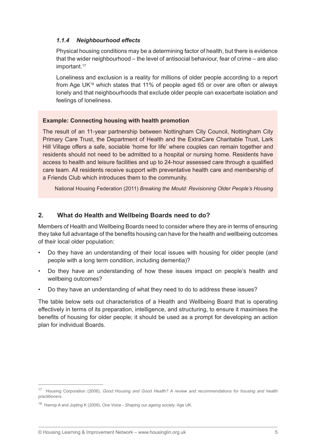#### *1.1.4 Neighbourhood effects*

Physical housing conditions may be a determining factor of health, but there is evidence that the wider neighbourhood – the level of antisocial behaviour, fear of crime – are also important.<sup>17</sup>

Loneliness and exclusion is a reality for millions of older people according to a report from Age UK18 which states that 11% of people aged 65 or over are often or always lonely and that neighbourhoods that exclude older people can exacerbate isolation and feelings of loneliness.

#### **Example: Connecting housing with health promotion**

The result of an 11-year partnership between Nottingham City Council, Nottingham City Primary Care Trust, the Department of Health and the ExtraCare Charitable Trust, Lark Hill Village offers a safe, sociable 'home for life' where couples can remain together and residents should not need to be admitted to a hospital or nursing home. Residents have access to health and leisure facilities and up to 24-hour assessed care through a qualified care team. All residents receive support with preventative health care and membership of a Friends Club which introduces them to the community.

National Housing Federation (2011) *Breaking the Mould: Revisioning Older People's Housing*

## **2. What do Health and Wellbeing Boards need to do?**

Members of Health and Wellbeing Boards need to consider where they are in terms of ensuring they take full advantage of the benefits housing can have for the health and wellbeing outcomes of their local older population:

- Do they have an understanding of their local issues with housing for older people (and people with a long term condition, including dementia)?
- Do they have an understanding of how these issues impact on people's health and wellbeing outcomes?
- Do they have an understanding of what they need to do to address these issues?

The table below sets out characteristics of a Health and Wellbeing Board that is operating effectively in terms of its preparation, intelligence, and structuring, to ensure it maximises the benefits of housing for older people; it should be used as a prompt for developing an action plan for individual Boards.

<sup>17</sup> Housing Corporation (2006), *Good Housing and Good Health? A review and recommendations for housing and health practitioners*.

<sup>18</sup> Harrop A and Jopling K (2009), *One Voice - Shaping our ageing society*. Age UK.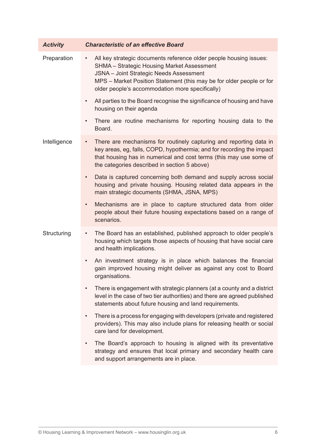| <b>Activity</b> | <b>Characteristic of an effective Board</b>                                                                                                                                                                                                                                                                |
|-----------------|------------------------------------------------------------------------------------------------------------------------------------------------------------------------------------------------------------------------------------------------------------------------------------------------------------|
| Preparation     | All key strategic documents reference older people housing issues:<br>$\bullet$<br><b>SHMA - Strategic Housing Market Assessment</b><br>JSNA - Joint Strategic Needs Assessment<br>MPS - Market Position Statement (this may be for older people or for<br>older people's accommodation more specifically) |
|                 | All parties to the Board recognise the significance of housing and have<br>$\bullet$<br>housing on their agenda                                                                                                                                                                                            |
|                 | There are routine mechanisms for reporting housing data to the<br>$\bullet$<br>Board.                                                                                                                                                                                                                      |
| Intelligence    | There are mechanisms for routinely capturing and reporting data in<br>$\bullet$<br>key areas, eg, falls, COPD, hypothermia; and for recording the impact<br>that housing has in numerical and cost terms (this may use some of<br>the categories described in section 5 above)                             |
|                 | Data is captured concerning both demand and supply across social<br>$\bullet$<br>housing and private housing. Housing related data appears in the<br>main strategic documents (SHMA, JSNA, MPS)                                                                                                            |
|                 | Mechanisms are in place to capture structured data from older<br>$\bullet$<br>people about their future housing expectations based on a range of<br>scenarios.                                                                                                                                             |
| Structuring     | The Board has an established, published approach to older people's<br>$\bullet$<br>housing which targets those aspects of housing that have social care<br>and health implications.                                                                                                                        |
|                 | An investment strategy is in place which balances the financial<br>$\bullet$<br>gain improved housing might deliver as against any cost to Board<br>organisations.                                                                                                                                         |
|                 | There is engagement with strategic planners (at a county and a district<br>$\bullet$<br>level in the case of two tier authorities) and there are agreed published<br>statements about future housing and land requirements.                                                                                |
|                 | There is a process for engaging with developers (private and registered<br>$\bullet$<br>providers). This may also include plans for releasing health or social<br>care land for development.                                                                                                               |
|                 | The Board's approach to housing is aligned with its preventative<br>$\bullet$<br>strategy and ensures that local primary and secondary health care<br>and support arrangements are in place.                                                                                                               |
|                 |                                                                                                                                                                                                                                                                                                            |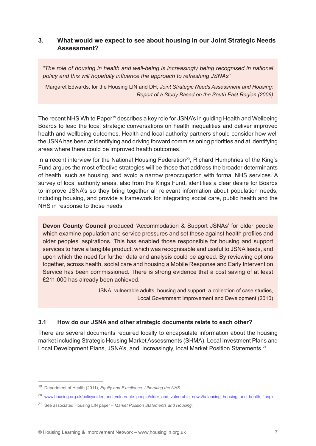#### **3. What would we expect to see about housing in our Joint Strategic Needs Assessment?**

*"The role of housing in health and well-being is increasingly being recognised in national policy and this will hopefully influence the approach to refreshing JSNAs"*

Margaret Edwards, for the Housing LIN and DH, *Joint Strategic Needs Assessment and Housing: Report of a Study Based on the South East Region (2009)*

The recent NHS White Paper<sup>19</sup> describes a key role for JSNA's in guiding Health and Wellbeing Boards to lead the local strategic conversations on health inequalities and deliver improved health and wellbeing outcomes. Health and local authority partners should consider how well the JSNA has been at identifying and driving forward commissioning priorities and at identifying areas where there could be improved health outcomes.

In a recent interview for the National Housing Federation<sup>20</sup>, Richard Humphries of the King's Fund argues the most effective strategies will be those that address the broader determinants of health, such as housing, and avoid a narrow preoccupation with formal NHS services. A survey of local authority areas, also from the Kings Fund, identifies a clear desire for Boards to improve JSNA's so they bring together all relevant information about population needs, including housing, and provide a framework for integrating social care, public health and the NHS in response to those needs.

**Devon County Council** produced 'Accommodation & Support JSNAs' for older people which examine population and service pressures and set these against health profiles and older peoples' aspirations. This has enabled those responsible for housing and support services to have a tangible product, which was recognisable and useful to JSNA leads, and upon which the need for further data and analysis could be agreed. By reviewing options together, across health, social care and housing a Mobile Response and Early Intervention Service has been commissioned. There is strong evidence that a cost saving of at least £211,000 has already been achieved.

> JSNA, vulnerable adults, housing and support: a collection of case studies, Local Government Improvement and Development (2010)

#### **3.1 How do our JSNA and other strategic documents relate to each other?**

There are several documents required locally to encapsulate information about the housing market including Strategic Housing Market Assessments (SHMA), Local Investment Plans and Local Development Plans, JSNA's, and, increasingly, local Market Position Statements.<sup>21</sup>

<sup>19</sup> Department of Health (2011), *Equity and Excellence: Liberating the NHS*.

<sup>&</sup>lt;sup>20</sup> www.housing.org.uk/policy/older\_and\_vulnerable\_people/older\_and\_vulnerable\_news/balancing\_housing\_and\_health\_f.aspx

<sup>21</sup> See associated Housing LIN paper – *Market Position Statements and Housing*.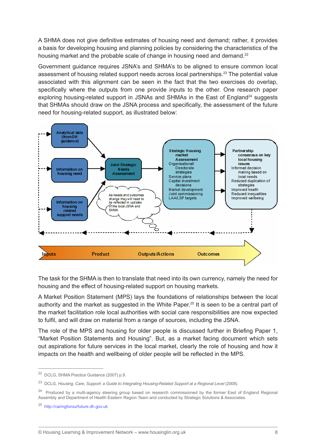A SHMA does not give definitive estimates of housing need and demand; rather, it provides a basis for developing housing and planning policies by considering the characteristics of the housing market and the probable scale of change in housing need and demand.<sup>22</sup>

Government guidance requires JSNA's and SHMA's to be aligned to ensure common local assessment of housing related support needs across local partnerships.<sup>23</sup> The potential value associated with this alignment can be seen in the fact that the two exercises do overlap, specifically where the outputs from one provide inputs to the other. One research paper exploring housing-related support in JSNAs and SHMAs in the East of England<sup>24</sup> suggests that SHMAs should draw on the JSNA process and specifically, the assessment of the future need for housing-related support, as illustrated below:



The task for the SHMA is then to translate that need into its own currency, namely the need for housing and the effect of housing-related support on housing markets.

A Market Position Statement (MPS) lays the foundations of relationships between the local authority and the market as suggested in the White Paper.25 It is seen to be a central part of the market facilitation role local authorities with social care responsibilities are now expected to fulfil, and will draw on material from a range of sources, including the JSNA.

The role of the MPS and housing for older people is discussed further in Briefing Paper 1, "Market Position Statements and Housing". But, as a market facing document which sets out aspirations for future services in the local market, clearly the role of housing and how it impacts on the health and wellbeing of older people will be reflected in the MPS.

<sup>22</sup> DCLG, SHMA Practice Guidance (2007) p.9.

<sup>23</sup> DCLG, *Housing, Care, Support: a Guide to Integrating Housing-Related Support at a Regional Level* (2008).

<sup>&</sup>lt;sup>24</sup> Produced by a multi-agency steering group based on research commissioned by the former East of England Regional Assembly and Department of Health Eastern Region Team and conducted by Strategic Solutions & Associates.

<sup>25</sup> http://caringforourfuture.dh.gov.uk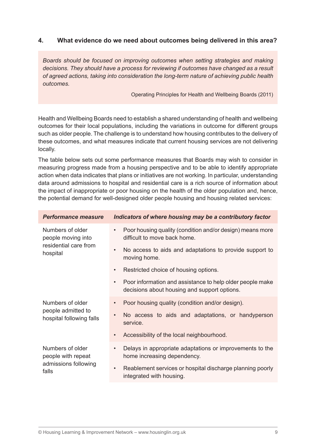## **4. What evidence do we need about outcomes being delivered in this area?**

*Boards should be focused on improving outcomes when setting strategies and making decisions. They should have a process for reviewing if outcomes have changed as a result of agreed actions, taking into consideration the long-term nature of achieving public health outcomes.*

Operating Principles for Health and Wellbeing Boards (2011)

Health and Wellbeing Boards need to establish a shared understanding of health and wellbeing outcomes for their local populations, including the variations in outcome for different groups such as older people. The challenge is to understand how housing contributes to the delivery of these outcomes, and what measures indicate that current housing services are not delivering locally.

The table below sets out some performance measures that Boards may wish to consider in measuring progress made from a housing perspective and to be able to identify appropriate action when data indicates that plans or initiatives are not working. In particular, understanding data around admissions to hospital and residential care is a rich source of information about the impact of inappropriate or poor housing on the health of the older population and, hence, the potential demand for well-designed older people housing and housing related services:

| <b>Performance measure</b>                                                  | Indicators of where housing may be a contributory factor                                                               |
|-----------------------------------------------------------------------------|------------------------------------------------------------------------------------------------------------------------|
| Numbers of older<br>people moving into<br>residential care from<br>hospital | Poor housing quality (condition and/or design) means more<br>$\bullet$<br>difficult to move back home.                 |
|                                                                             | No access to aids and adaptations to provide support to<br>$\bullet$<br>moving home.                                   |
|                                                                             | Restricted choice of housing options.<br>$\bullet$                                                                     |
|                                                                             | Poor information and assistance to help older people make<br>$\bullet$<br>decisions about housing and support options. |
| Numbers of older                                                            | Poor housing quality (condition and/or design).<br>$\bullet$                                                           |
| people admitted to<br>hospital following falls                              | No access to aids and adaptations, or handyperson<br>$\bullet$<br>service.                                             |
|                                                                             | Accessibility of the local neighbourhood.<br>$\bullet$                                                                 |
| Numbers of older<br>people with repeat                                      | Delays in appropriate adaptations or improvements to the<br>$\bullet$<br>home increasing dependency.                   |
| admissions following<br>falls                                               | Reablement services or hospital discharge planning poorly<br>$\bullet$<br>integrated with housing.                     |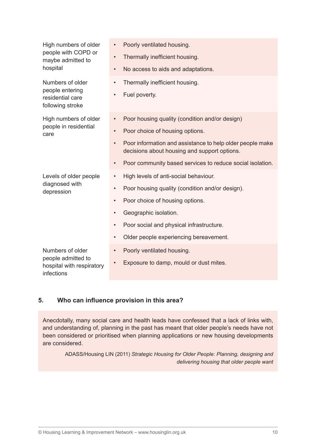| High numbers of older<br>people with COPD or<br>maybe admitted to<br>hospital | $\bullet$ | Poorly ventilated housing.                                                                                |
|-------------------------------------------------------------------------------|-----------|-----------------------------------------------------------------------------------------------------------|
|                                                                               | $\bullet$ | Thermally inefficient housing.                                                                            |
|                                                                               | $\bullet$ | No access to aids and adaptations.                                                                        |
| Numbers of older<br>people entering<br>residential care<br>following stroke   | $\bullet$ | Thermally inefficient housing.                                                                            |
|                                                                               |           | Fuel poverty.                                                                                             |
| High numbers of older<br>people in residential<br>care                        | $\bullet$ | Poor housing quality (condition and/or design)                                                            |
|                                                                               | $\bullet$ | Poor choice of housing options.                                                                           |
|                                                                               | $\bullet$ | Poor information and assistance to help older people make<br>decisions about housing and support options. |
|                                                                               |           | Poor community based services to reduce social isolation.                                                 |
| Levels of older people                                                        | $\bullet$ | High levels of anti-social behaviour.                                                                     |
| diagnosed with<br>depression                                                  | $\bullet$ | Poor housing quality (condition and/or design).                                                           |
|                                                                               | $\bullet$ | Poor choice of housing options.                                                                           |
|                                                                               | $\bullet$ | Geographic isolation.                                                                                     |
|                                                                               | $\bullet$ | Poor social and physical infrastructure.                                                                  |
|                                                                               | $\bullet$ | Older people experiencing bereavement.                                                                    |
| Numbers of older                                                              | $\bullet$ | Poorly ventilated housing.                                                                                |
| people admitted to<br>hospital with respiratory<br>infections                 |           | Exposure to damp, mould or dust mites.                                                                    |

# **5. Who can influence provision in this area?**

Anecdotally, many social care and health leads have confessed that a lack of links with, and understanding of, planning in the past has meant that older people's needs have not been considered or prioritised when planning applications or new housing developments are considered.

ADASS/Housing LIN (2011) *Strategic Housing for Older People: Planning, designing and delivering housing that older people want*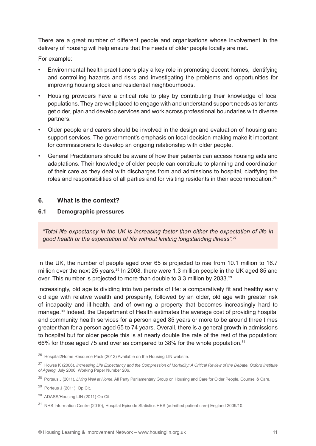There are a great number of different people and organisations whose involvement in the delivery of housing will help ensure that the needs of older people locally are met.

For example:

- Environmental health practitioners play a key role in promoting decent homes, identifying and controlling hazards and risks and investigating the problems and opportunities for improving housing stock and residential neighbourhoods.
- Housing providers have a critical role to play by contributing their knowledge of local populations. They are well placed to engage with and understand support needs as tenants get older, plan and develop services and work across professional boundaries with diverse partners.
- Older people and carers should be involved in the design and evaluation of housing and support services. The government's emphasis on local decision-making make it important for commissioners to develop an ongoing relationship with older people.
- General Practitioners should be aware of how their patients can access housing aids and adaptations. Their knowledge of older people can contribute to planning and coordination of their care as they deal with discharges from and admissions to hospital, clarifying the roles and responsibilities of all parties and for visiting residents in their accommodation.<sup>26</sup>

#### **6. What is the context?**

#### **6.1 Demographic pressures**

*"Total life expectancy in the UK is increasing faster than either the expectation of life in good health or the expectation of life without limiting longstanding illness".*<sup>27</sup>

In the UK, the number of people aged over 65 is projected to rise from 10.1 million to 16.7 million over the next 25 years.<sup>28</sup> In 2008, there were 1.3 million people in the UK aged 85 and over. This number is projected to more than double to 3.3 million by 2033.29

Increasingly, old age is dividing into two periods of life: a comparatively fit and healthy early old age with relative wealth and prosperity, followed by an older, old age with greater risk of incapacity and ill-health, and of owning a property that becomes increasingly hard to manage.30 Indeed, the Department of Health estimates the average cost of providing hospital and community health services for a person aged 85 years or more to be around three times greater than for a person aged 65 to 74 years. Overall, there is a general growth in admissions to hospital but for older people this is at nearly double the rate of the rest of the population; 66% for those aged 75 and over as compared to 38% for the whole population.31

 $^{26}$  Hospital2Home Resource Pack (2012) Available on the Housing LIN website.

<sup>27</sup> Howse K (2006). *Increasing Life Expectancy and the Compression of Morbidity: A Critical Review of the Debate. Oxford Institute of Ageing*, July 2006. Working Paper Number 206.

<sup>28</sup> Porteus J (2011), *Living Well at Home*, All Party Parliamentary Group on Housing and Care for Older People, Counsel & Care.

<sup>29</sup> Porteus J (2011), Op Cit.

<sup>30</sup> ADASS/Housing LIN (2011) Op Cit.

<sup>31</sup> NHS Information Centre (2010), Hospital Episode Statistics HES (admitted patient care) England 2009/10.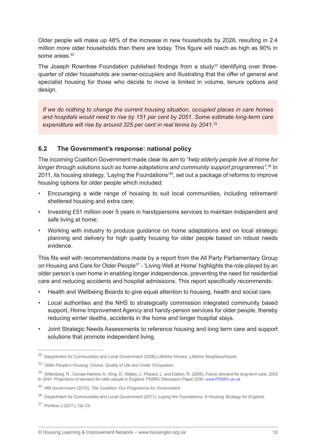Older people will make up 48% of the increase in new households by 2026, resulting in 2.4 million more older households than there are today. This figure will reach as high as 90% in some areas.<sup>32</sup>

The Joseph Rowntree Foundation published findings from a study<sup>33</sup> identifying over threequarter of older households are owner-occupiers and illustrating that the offer of general and specialist housing for those who decide to move is limited in volume, tenure options and design.

*If we do nothing to change the current housing situation, occupied places in care homes and hospitals would need to rise by 151 per cent by 2051. Some estimate long-term care expenditure will rise by around 325 per cent in real terms by 2041.*<sup>34</sup>

# **6.2 The Government's response: national policy**

The incoming Coalition Government made clear its aim to *"help elderly people live at home for longer through solutions such as home adaptations and community support programmes"*. 35 In 2011, its housing strategy, 'Laying the Foundations'36, set out a package of reforms to improve housing options for older people which included:

- Encouraging a wide range of housing to suit local communities, including retirement/ sheltered housing and extra care;
- Investing £51 million over 5 years in handypersons services to maintain independent and safe living at home;
- Working with industry to produce guidance on home adaptations and on local strategic planning and delivery for high quality housing for older people based on robust needs evidence.

This fits well with recommendations made by a report from the All Party Parliamentary Group on Housing and Care for Older People<sup>37</sup> - 'Living Well at Home' highlights the role played by an older person's own home in enabling longer independence, preventing the need for residential care and reducing accidents and hospital admissions. This report specifically recommends:

- Health and Wellbeing Boards to give equal attention to housing, health and social care.
- Local authorities and the NHS to strategically commission integrated community based support, Home Improvement Agency and handy-person services for older people, thereby reducing winter deaths, accidents in the home and longer hospital stays.
- Joint Strategic Needs Assessments to reference housing and long term care and support solutions that promote independent living.

<sup>32</sup> Department for Communities and Local Government (2008).*Lifetime Homes, Lifetime Neighbourhoods*.

<sup>33</sup> *Older People's Housing: Choice, Quality of Life and Under Occupation*.

<sup>34</sup> Wittenberg, R., Comas-Herrera, A., King, D., Malley, J., Pickard, L. and Darton, R. (2006), *Future demand for long-term care, 2002 to 2041: Projections of demand for older people in England*. PSSRU Discussion Paper 2330. www.PSSRU.ac.uk

<sup>35</sup> HM Government (2010), *The Coalition: Our Programme for Government.*

<sup>36</sup> Department for Communities and Local Government (2011), *Laying the Foundations: A Housing Strategy for England*.

<sup>37</sup> Porteus J (2011), Op Cit.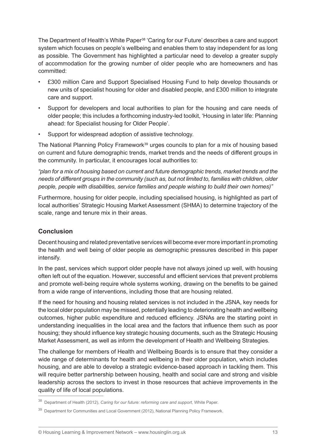The Department of Health's White Paper<sup>38</sup> 'Caring for our Future' describes a care and support system which focuses on people's wellbeing and enables them to stay independent for as long as possible. The Government has highlighted a particular need to develop a greater supply of accommodation for the growing number of older people who are homeowners and has committed:

- £300 million Care and Support Specialised Housing Fund to help develop thousands or new units of specialist housing for older and disabled people, and £300 million to integrate care and support.
- Support for developers and local authorities to plan for the housing and care needs of older people; this includes a forthcoming industry-led toolkit, 'Housing in later life: Planning ahead: for Specialist housing for Older People'.
- Support for widespread adoption of assistive technology.

The National Planning Policy Framework<sup>39</sup> urges councils to plan for a mix of housing based on current and future demographic trends, market trends and the needs of different groups in the community. In particular, it encourages local authorities to:

*"plan for a mix of housing based on current and future demographic trends, market trends and the needs of different groups in the community (such as, but not limited to, families with children, older people, people with disabilities, service families and people wishing to build their own homes)"*

Furthermore, housing for older people, including specialised housing, is highlighted as part of local authorities' Strategic Housing Market Assessment (SHMA) to determine trajectory of the scale, range and tenure mix in their areas.

## **Conclusion**

Decent housing and related preventative services will become ever more important in promoting the health and well being of older people as demographic pressures described in this paper intensify.

In the past, services which support older people have not always joined up well, with housing often left out of the equation. However, successful and efficient services that prevent problems and promote well-being require whole systems working, drawing on the benefits to be gained from a wide range of interventions, including those that are housing related.

If the need for housing and housing related services is not included in the JSNA, key needs for the local older population may be missed, potentially leading to deteriorating health and wellbeing outcomes, higher public expenditure and reduced efficiency. JSNAs are the starting point in understanding inequalities in the local area and the factors that influence them such as poor housing; they should influence key strategic housing documents, such as the Strategic Housing Market Assessment, as well as inform the development of Health and Wellbeing Strategies.

The challenge for members of Health and Wellbeing Boards is to ensure that they consider a wide range of determinants for health and wellbeing in their older population, which includes housing, and are able to develop a strategic evidence-based approach in tackling them. This will require better partnership between housing, health and social care and strong and visible leadership across the sectors to invest in those resources that achieve improvements in the quality of life of local populations.

<sup>38</sup> Department of Health (2012), *Caring for our future: reforming care and support*, White Paper.

<sup>&</sup>lt;sup>39</sup> Department for Communities and Local Government (2012), National Planning Policy Framework.